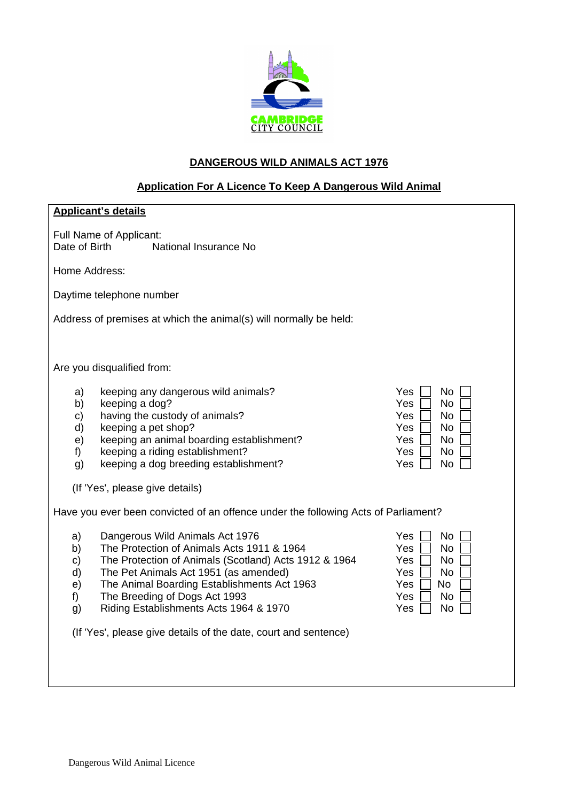

## **DANGEROUS WILD ANIMALS ACT 1976**

# **Application For A Licence To Keep A Dangerous Wild Animal**

| <b>Applicant's details</b>                                                                                                                                                                                                                                                                                                                          |                                                                                                                |
|-----------------------------------------------------------------------------------------------------------------------------------------------------------------------------------------------------------------------------------------------------------------------------------------------------------------------------------------------------|----------------------------------------------------------------------------------------------------------------|
| Full Name of Applicant:<br>Date of Birth<br>National Insurance No                                                                                                                                                                                                                                                                                   |                                                                                                                |
| Home Address:                                                                                                                                                                                                                                                                                                                                       |                                                                                                                |
| Daytime telephone number                                                                                                                                                                                                                                                                                                                            |                                                                                                                |
| Address of premises at which the animal(s) will normally be held:                                                                                                                                                                                                                                                                                   |                                                                                                                |
| Are you disqualified from:                                                                                                                                                                                                                                                                                                                          |                                                                                                                |
| keeping any dangerous wild animals?<br>a)<br>keeping a dog?<br>b)<br>having the custody of animals?<br>c)<br>keeping a pet shop?<br>d)<br>keeping an animal boarding establishment?<br>e)<br>keeping a riding establishment?<br>$f$ )<br>keeping a dog breeding establishment?<br>g)                                                                | <b>No</b><br>Yes<br><b>No</b><br>Yes<br>Yes<br>No.<br>Yes<br>No<br>Yes.<br>No<br>Yes<br>No<br><b>No</b><br>Yes |
| (If 'Yes', please give details)                                                                                                                                                                                                                                                                                                                     |                                                                                                                |
| Have you ever been convicted of an offence under the following Acts of Parliament?                                                                                                                                                                                                                                                                  |                                                                                                                |
| Dangerous Wild Animals Act 1976<br>a)<br>The Protection of Animals Acts 1911 & 1964<br>b)<br>The Protection of Animals (Scotland) Acts 1912 & 1964<br>C)<br>The Pet Animals Act 1951 (as amended)<br>d)<br>The Animal Boarding Establishments Act 1963<br>e)<br>The Breeding of Dogs Act 1993<br>f)<br>Riding Establishments Acts 1964 & 1970<br>g) | Yes<br><b>No</b><br><b>No</b><br>Yes<br>Yes<br>No<br>Yes.<br>No.<br>Yes<br>No<br>Yes<br>No<br>Yes<br><b>No</b> |
| (If 'Yes', please give details of the date, court and sentence)                                                                                                                                                                                                                                                                                     |                                                                                                                |
|                                                                                                                                                                                                                                                                                                                                                     |                                                                                                                |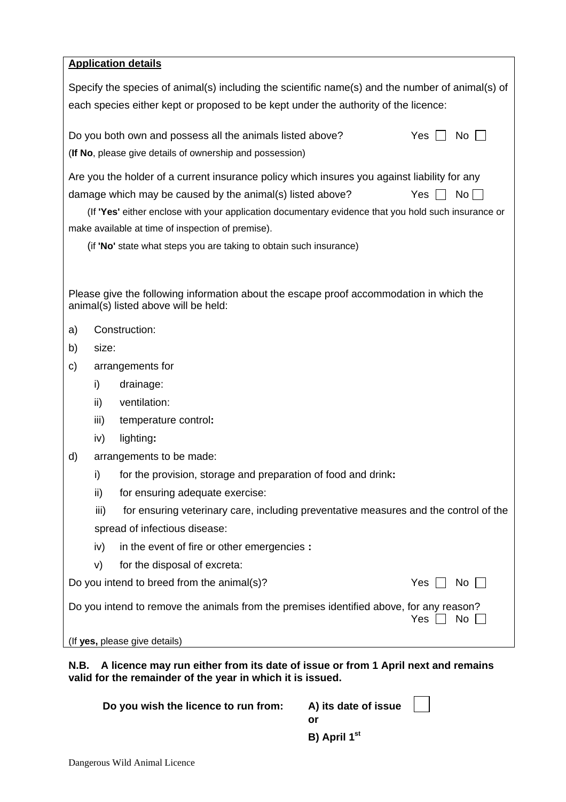| <b>Application details</b> |  |
|----------------------------|--|
|                            |  |

Specify the species of animal(s) including the scientific name(s) and the number of animal(s) of each species either kept or proposed to be kept under the authority of the licence:

| Do you both own and possess all the animals listed above? | Yes $\Box$ No $\Box$ |
|-----------------------------------------------------------|----------------------|
| (If No, please give details of ownership and possession)  |                      |

Are you the holder of a current insurance policy which insures you against liability for any damage which may be caused by the animal(s) listed above? Yes  $\Box$  No  $\Box$ 

(If **'Yes'** either enclose with your application documentary evidence that you hold such insurance or make available at time of inspection of premise).

(if **'No'** state what steps you are taking to obtain such insurance)

Please give the following information about the escape proof accommodation in which the animal(s) listed above will be held:

- a) Construction:
- b) size:
- c) arrangements for
	- i) drainage:
	- ii) ventilation:
	- iii) temperature control**:**
	- iv) lighting**:**
- d) arrangements to be made:
	- i) for the provision, storage and preparation of food and drink**:**
	- ii) for ensuring adequate exercise:
	- iii) for ensuring veterinary care, including preventative measures and the control of the spread of infectious disease:
	- iv) in the event of fire or other emergencies **:**
	- v) for the disposal of excreta:

Do you intend to breed from the animal(s)?  $Yes \cap No$ 

| Do you intend to remove the animals from the premises identified above, for any reason? |                      |  |
|-----------------------------------------------------------------------------------------|----------------------|--|
|                                                                                         | Yes $\Box$ No $\Box$ |  |

(If **yes,** please give details)

**N.B. A licence may run either from its date of issue or from 1 April next and remains valid for the remainder of the year in which it is issued.** 

| Do you wish the licence to run from: | A) its date of issue |  |
|--------------------------------------|----------------------|--|
|                                      |                      |  |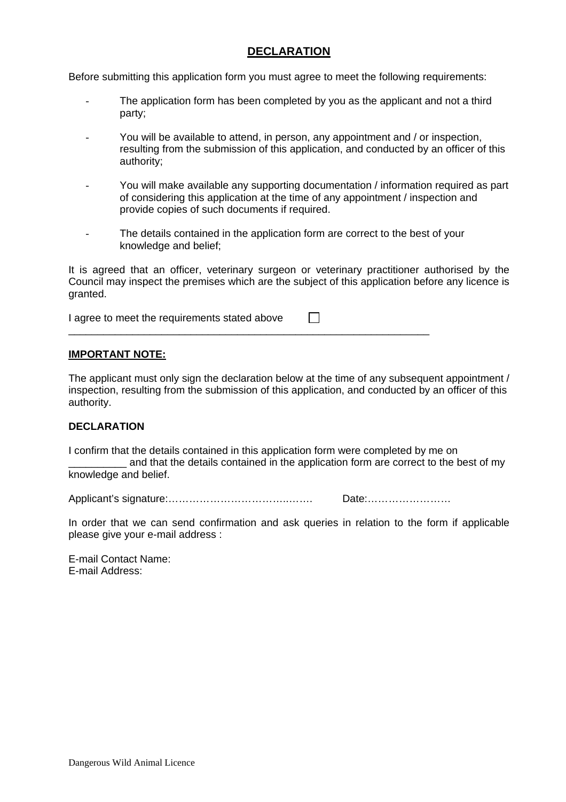## **DECLARATION**

Before submitting this application form you must agree to meet the following requirements:

- The application form has been completed by you as the applicant and not a third party;
- You will be available to attend, in person, any appointment and / or inspection, resulting from the submission of this application, and conducted by an officer of this authority;
- You will make available any supporting documentation / information required as part of considering this application at the time of any appointment / inspection and provide copies of such documents if required.
- The details contained in the application form are correct to the best of your knowledge and belief;

It is agreed that an officer, veterinary surgeon or veterinary practitioner authorised by the Council may inspect the premises which are the subject of this application before any licence is granted.

I agree to meet the requirements stated above  $\Box$ 

\_\_\_\_\_\_\_\_\_\_\_\_\_\_\_\_\_\_\_\_\_\_\_\_\_\_\_\_\_\_\_\_\_\_\_\_\_\_\_\_\_\_\_\_\_\_\_\_\_\_\_\_\_\_\_\_\_\_\_\_\_\_

#### **IMPORTANT NOTE:**

The applicant must only sign the declaration below at the time of any subsequent appointment / inspection, resulting from the submission of this application, and conducted by an officer of this authority.

#### **DECLARATION**

I confirm that the details contained in this application form were completed by me on \_\_\_\_\_\_\_\_\_\_ and that the details contained in the application form are correct to the best of my knowledge and belief.

Applicant's signature:……………………………..……. Date:……………………

In order that we can send confirmation and ask queries in relation to the form if applicable please give your e-mail address :

E-mail Contact Name: E-mail Address: